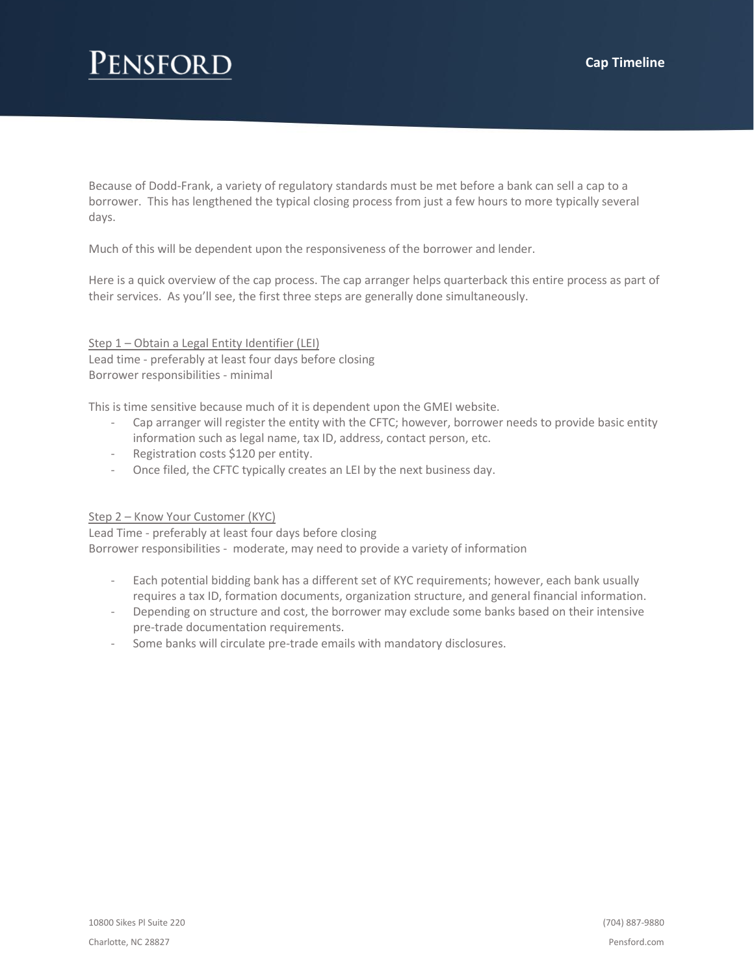# **ENSFORD**

Because of Dodd-Frank, a variety of regulatory standards must be met before a bank can sell a cap to a borrower. This has lengthened the typical closing process from just a few hours to more typically several days.

Much of this will be dependent upon the responsiveness of the borrower and lender.

Here is a quick overview of the cap process. The cap arranger helps quarterback this entire process as part of their services. As you'll see, the first three steps are generally done simultaneously.

Step 1 – Obtain a Legal Entity Identifier (LEI) Lead time - preferably at least four days before closing Borrower responsibilities - minimal

This is time sensitive because much of it is dependent upon the GMEI website.

- Cap arranger will register the entity with the CFTC; however, borrower needs to provide basic entity information such as legal name, tax ID, address, contact person, etc.
- Registration costs \$120 per entity.
- Once filed, the CFTC typically creates an LEI by the next business day.

#### Step 2 – Know Your Customer (KYC)

Lead Time - preferably at least four days before closing Borrower responsibilities - moderate, may need to provide a variety of information

- Each potential bidding bank has a different set of KYC requirements; however, each bank usually requires a tax ID, formation documents, organization structure, and general financial information.
- Depending on structure and cost, the borrower may exclude some banks based on their intensive pre-trade documentation requirements.
- Some banks will circulate pre-trade emails with mandatory disclosures.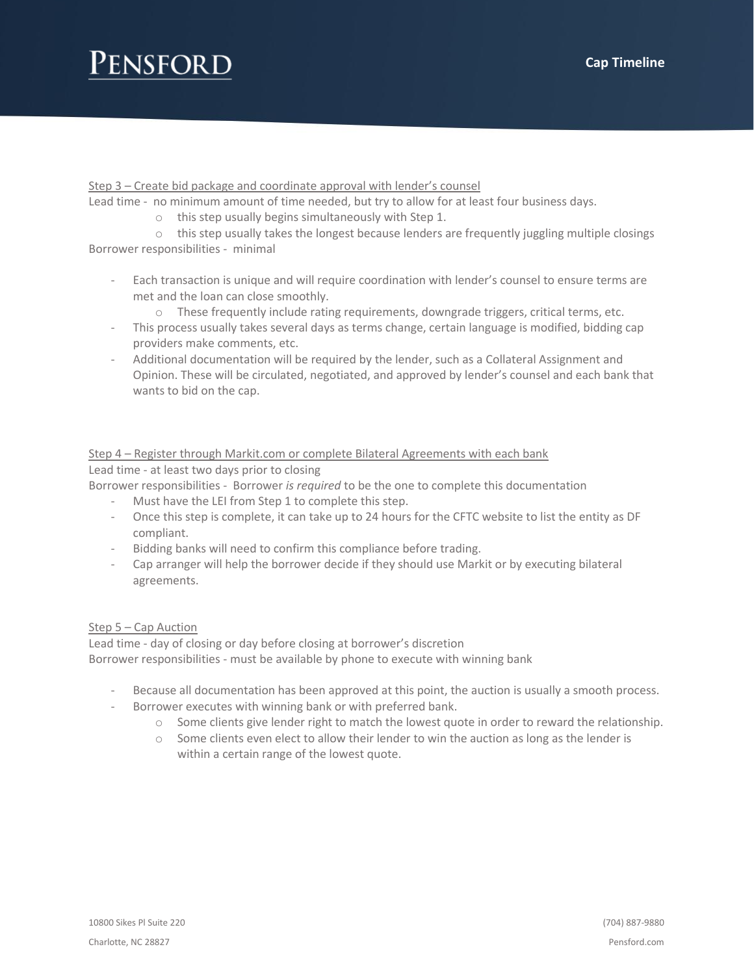# ENSFORD

Step 3 – Create bid package and coordinate approval with lender's counsel

Lead time - no minimum amount of time needed, but try to allow for at least four business days.

o this step usually begins simultaneously with Step 1.

 $\circ$  this step usually takes the longest because lenders are frequently juggling multiple closings Borrower responsibilities - minimal

- Each transaction is unique and will require coordination with lender's counsel to ensure terms are met and the loan can close smoothly.
	- o These frequently include rating requirements, downgrade triggers, critical terms, etc.
- This process usually takes several days as terms change, certain language is modified, bidding cap providers make comments, etc.
- Additional documentation will be required by the lender, such as a Collateral Assignment and Opinion. These will be circulated, negotiated, and approved by lender's counsel and each bank that wants to bid on the cap.

### Step 4 – Register through Markit.com or complete Bilateral Agreements with each bank Lead time - at least two days prior to closing

Borrower responsibilities - Borrower *is required* to be the one to complete this documentation

- Must have the LEI from Step 1 to complete this step.
- Once this step is complete, it can take up to 24 hours for the CFTC website to list the entity as DF compliant.
- Bidding banks will need to confirm this compliance before trading.
- Cap arranger will help the borrower decide if they should use Markit or by executing bilateral agreements.

## Step 5 - Cap Auction

Lead time - day of closing or day before closing at borrower's discretion Borrower responsibilities - must be available by phone to execute with winning bank

- Because all documentation has been approved at this point, the auction is usually a smooth process.
	- Borrower executes with winning bank or with preferred bank.
		- o Some clients give lender right to match the lowest quote in order to reward the relationship.
		- $\circ$  Some clients even elect to allow their lender to win the auction as long as the lender is within a certain range of the lowest quote.